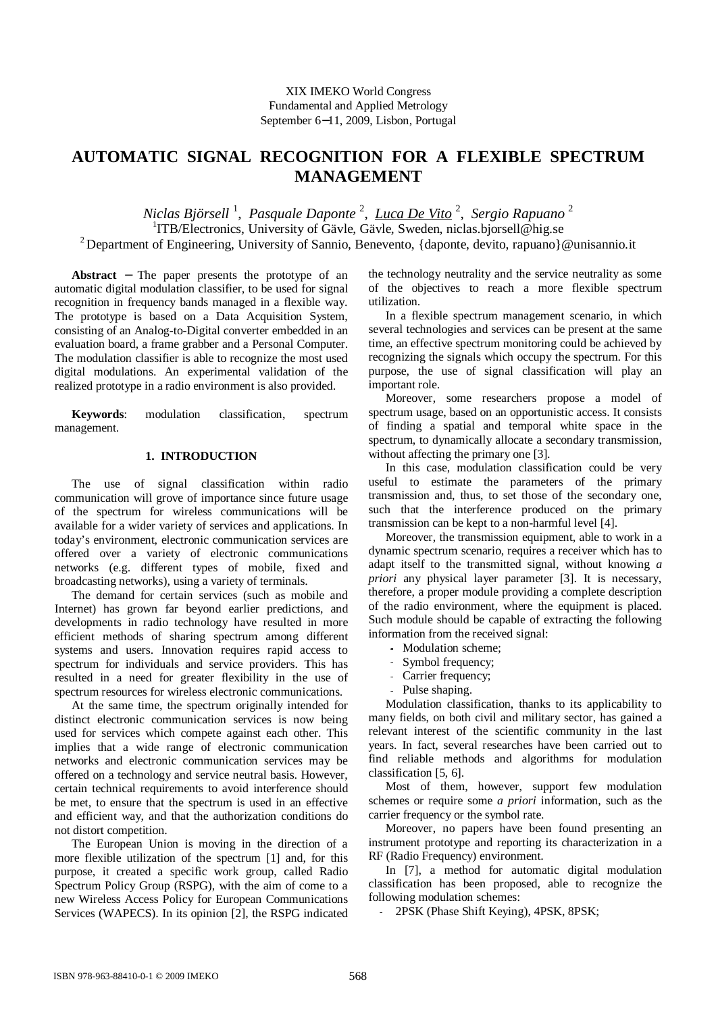# **AUTOMATIC SIGNAL RECOGNITION FOR A FLEXIBLE SPECTRUM MANAGEMENT**

*Niclas Björsell* <sup>1</sup> , *Pasquale Daponte* <sup>2</sup> , *Luca De Vito* <sup>2</sup> , *Sergio Rapuano* <sup>2</sup> <sup>1</sup>ITB/Electronics, University of Gävle, Gävle, Sweden, niclas.bjorsell@hig.se <sup>2</sup> Department of Engineering, University of Sannio, Benevento, {daponte, devito, rapuano}@unisannio.it

**Abstract** − The paper presents the prototype of an automatic digital modulation classifier, to be used for signal recognition in frequency bands managed in a flexible way. The prototype is based on a Data Acquisition System, consisting of an Analog-to-Digital converter embedded in an evaluation board, a frame grabber and a Personal Computer. The modulation classifier is able to recognize the most used digital modulations. An experimental validation of the realized prototype in a radio environment is also provided.

**Keywords**: modulation classification, spectrum management.

### **1. INTRODUCTION**

The use of signal classification within radio communication will grove of importance since future usage of the spectrum for wireless communications will be available for a wider variety of services and applications. In today's environment, electronic communication services are offered over a variety of electronic communications networks (e.g. different types of mobile, fixed and broadcasting networks), using a variety of terminals.

The demand for certain services (such as mobile and Internet) has grown far beyond earlier predictions, and developments in radio technology have resulted in more efficient methods of sharing spectrum among different systems and users. Innovation requires rapid access to spectrum for individuals and service providers. This has resulted in a need for greater flexibility in the use of spectrum resources for wireless electronic communications.

At the same time, the spectrum originally intended for distinct electronic communication services is now being used for services which compete against each other. This implies that a wide range of electronic communication networks and electronic communication services may be offered on a technology and service neutral basis. However, certain technical requirements to avoid interference should be met, to ensure that the spectrum is used in an effective and efficient way, and that the authorization conditions do not distort competition.

The European Union is moving in the direction of a more flexible utilization of the spectrum [1] and, for this purpose, it created a specific work group, called Radio Spectrum Policy Group (RSPG), with the aim of come to a new Wireless Access Policy for European Communications Services (WAPECS). In its opinion [2], the RSPG indicated the technology neutrality and the service neutrality as some of the objectives to reach a more flexible spectrum utilization.

In a flexible spectrum management scenario, in which several technologies and services can be present at the same time, an effective spectrum monitoring could be achieved by recognizing the signals which occupy the spectrum. For this purpose, the use of signal classification will play an important role.

Moreover, some researchers propose a model of spectrum usage, based on an opportunistic access. It consists of finding a spatial and temporal white space in the spectrum, to dynamically allocate a secondary transmission, without affecting the primary one [3].

In this case, modulation classification could be very useful to estimate the parameters of the primary transmission and, thus, to set those of the secondary one, such that the interference produced on the primary transmission can be kept to a non-harmful level [4].

Moreover, the transmission equipment, able to work in a dynamic spectrum scenario, requires a receiver which has to adapt itself to the transmitted signal, without knowing *a priori* any physical layer parameter [3]. It is necessary, therefore, a proper module providing a complete description of the radio environment, where the equipment is placed. Such module should be capable of extracting the following information from the received signal:

- Modulation scheme;
- Symbol frequency;
- Carrier frequency;
- Pulse shaping.

Modulation classification, thanks to its applicability to many fields, on both civil and military sector, has gained a relevant interest of the scientific community in the last years. In fact, several researches have been carried out to find reliable methods and algorithms for modulation classification [5, 6].

Most of them, however, support few modulation schemes or require some *a priori* information, such as the carrier frequency or the symbol rate.

Moreover, no papers have been found presenting an instrument prototype and reporting its characterization in a RF (Radio Frequency) environment.

In [7], a method for automatic digital modulation classification has been proposed, able to recognize the following modulation schemes:

- 2PSK (Phase Shift Keying), 4PSK, 8PSK;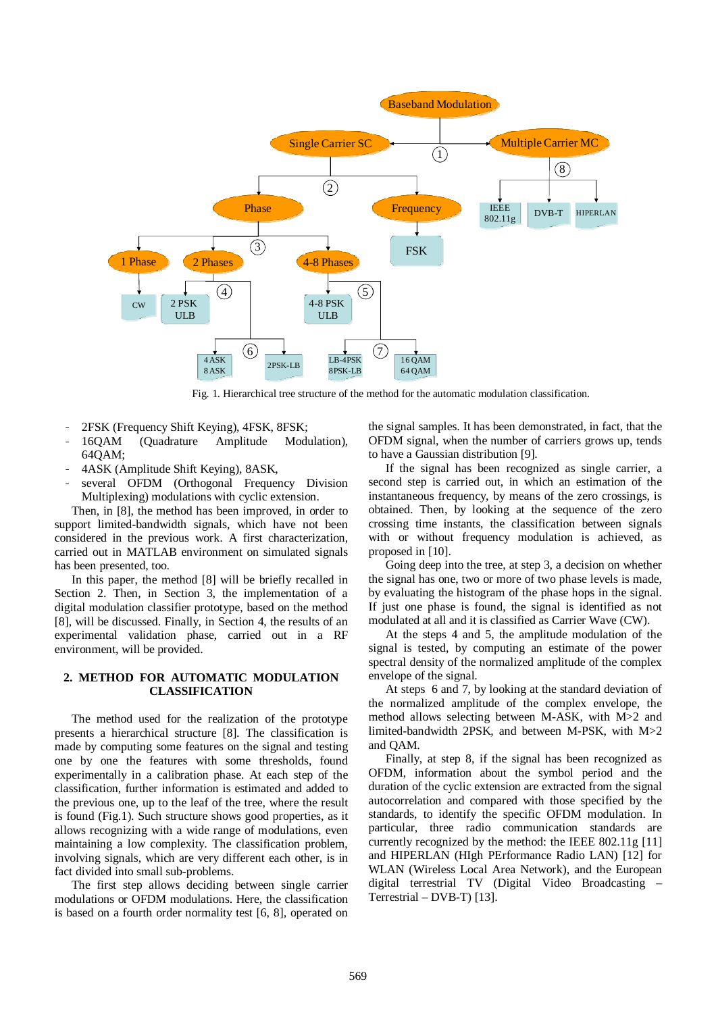

Fig. 1. Hierarchical tree structure of the method for the automatic modulation classification.

- 2FSK (Frequency Shift Keying), 4FSK, 8FSK;
- 16QAM (Quadrature Amplitude Modulation), 64QAM;
- 4ASK (Amplitude Shift Keying), 8ASK,
- several OFDM (Orthogonal Frequency Division Multiplexing) modulations with cyclic extension.

Then, in [8], the method has been improved, in order to support limited-bandwidth signals, which have not been considered in the previous work. A first characterization, carried out in MATLAB environment on simulated signals has been presented, too.

In this paper, the method [8] will be briefly recalled in Section 2. Then, in Section 3, the implementation of a digital modulation classifier prototype, based on the method [8], will be discussed. Finally, in Section 4, the results of an experimental validation phase, carried out in a RF environment, will be provided.

#### **2. METHOD FOR AUTOMATIC MODULATION CLASSIFICATION**

The method used for the realization of the prototype presents a hierarchical structure [8]. The classification is made by computing some features on the signal and testing one by one the features with some thresholds, found experimentally in a calibration phase. At each step of the classification, further information is estimated and added to the previous one, up to the leaf of the tree, where the result is found (Fig.1). Such structure shows good properties, as it allows recognizing with a wide range of modulations, even maintaining a low complexity. The classification problem, involving signals, which are very different each other, is in fact divided into small sub-problems.

The first step allows deciding between single carrier modulations or OFDM modulations. Here, the classification is based on a fourth order normality test [6, 8], operated on the signal samples. It has been demonstrated, in fact, that the OFDM signal, when the number of carriers grows up, tends to have a Gaussian distribution [9].

If the signal has been recognized as single carrier, a second step is carried out, in which an estimation of the instantaneous frequency, by means of the zero crossings, is obtained. Then, by looking at the sequence of the zero crossing time instants, the classification between signals with or without frequency modulation is achieved, as proposed in [10].

Going deep into the tree, at step 3, a decision on whether the signal has one, two or more of two phase levels is made, by evaluating the histogram of the phase hops in the signal. If just one phase is found, the signal is identified as not modulated at all and it is classified as Carrier Wave (CW).

At the steps 4 and 5, the amplitude modulation of the signal is tested, by computing an estimate of the power spectral density of the normalized amplitude of the complex envelope of the signal.

At steps 6 and 7, by looking at the standard deviation of the normalized amplitude of the complex envelope, the method allows selecting between M-ASK, with M>2 and limited-bandwidth 2PSK, and between M-PSK, with M>2 and QAM.

Finally, at step 8, if the signal has been recognized as OFDM, information about the symbol period and the duration of the cyclic extension are extracted from the signal autocorrelation and compared with those specified by the standards, to identify the specific OFDM modulation. In particular, three radio communication standards are currently recognized by the method: the IEEE 802.11g [11] and HIPERLAN (HIgh PErformance Radio LAN) [12] for WLAN (Wireless Local Area Network), and the European digital terrestrial TV (Digital Video Broadcasting – Terrestrial – DVB-T) [13].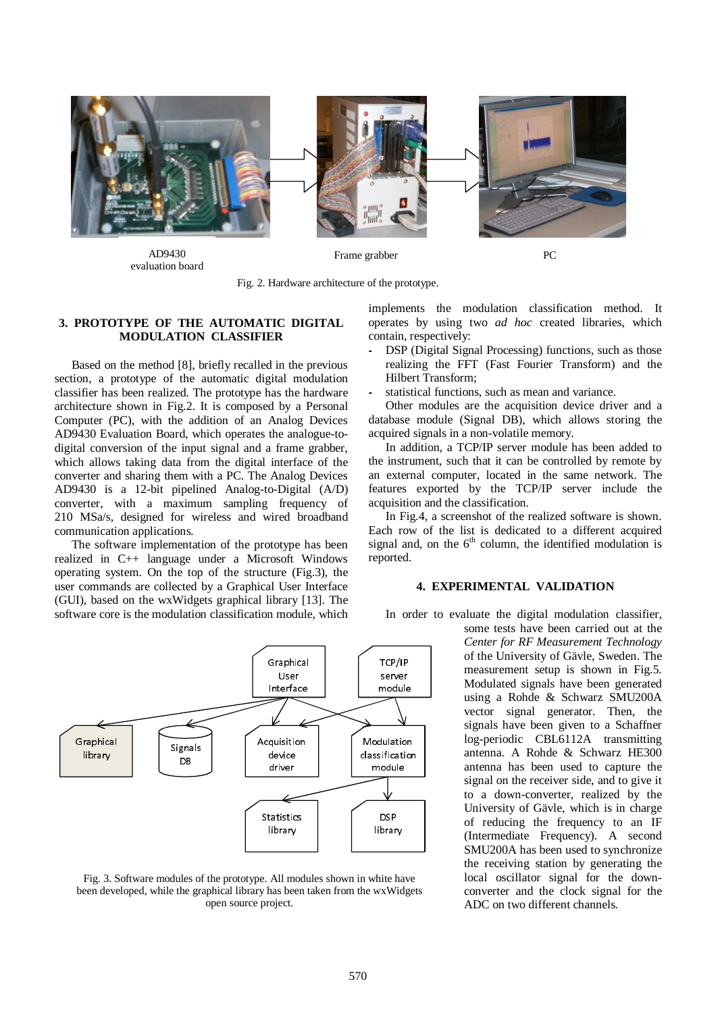

AD9430 evaluation board

Frame grabber PC

Fig. 2. Hardware architecture of the prototype.

# **3. PROTOTYPE OF THE AUTOMATIC DIGITAL MODULATION CLASSIFIER**

Based on the method [8], briefly recalled in the previous section, a prototype of the automatic digital modulation classifier has been realized. The prototype has the hardware architecture shown in Fig.2. It is composed by a Personal Computer (PC), with the addition of an Analog Devices AD9430 Evaluation Board, which operates the analogue-todigital conversion of the input signal and a frame grabber, which allows taking data from the digital interface of the converter and sharing them with a PC. The Analog Devices AD9430 is a 12-bit pipelined Analog-to-Digital (A/D) converter, with a maximum sampling frequency of 210 MSa/s, designed for wireless and wired broadband communication applications.

The software implementation of the prototype has been realized in C++ language under a Microsoft Windows operating system. On the top of the structure (Fig.3), the user commands are collected by a Graphical User Interface (GUI), based on the wxWidgets graphical library [13]. The software core is the modulation classification module, which



Fig. 3. Software modules of the prototype. All modules shown in white have been developed, while the graphical library has been taken from the wxWidgets open source project.

implements the modulation classification method. It operates by using two *ad hoc* created libraries, which contain, respectively:

- DSP (Digital Signal Processing) functions, such as those realizing the FFT (Fast Fourier Transform) and the Hilbert Transform;
- statistical functions, such as mean and variance.

Other modules are the acquisition device driver and a database module (Signal DB), which allows storing the acquired signals in a non-volatile memory.

In addition, a TCP/IP server module has been added to the instrument, such that it can be controlled by remote by an external computer, located in the same network. The features exported by the TCP/IP server include the acquisition and the classification.

In Fig.4, a screenshot of the realized software is shown. Each row of the list is dedicated to a different acquired signal and, on the  $6<sup>th</sup>$  column, the identified modulation is reported.

## **4. EXPERIMENTAL VALIDATION**

In order to evaluate the digital modulation classifier,

some tests have been carried out at the *Center for RF Measurement Technology* of the University of Gävle, Sweden. The measurement setup is shown in Fig.5. Modulated signals have been generated using a Rohde & Schwarz SMU200A vector signal generator. Then, the signals have been given to a Schaffner log-periodic CBL6112A transmitting antenna. A Rohde & Schwarz HE300 antenna has been used to capture the signal on the receiver side, and to give it to a down-converter, realized by the University of Gävle, which is in charge of reducing the frequency to an IF (Intermediate Frequency). A second SMU200A has been used to synchronize the receiving station by generating the local oscillator signal for the downconverter and the clock signal for the ADC on two different channels.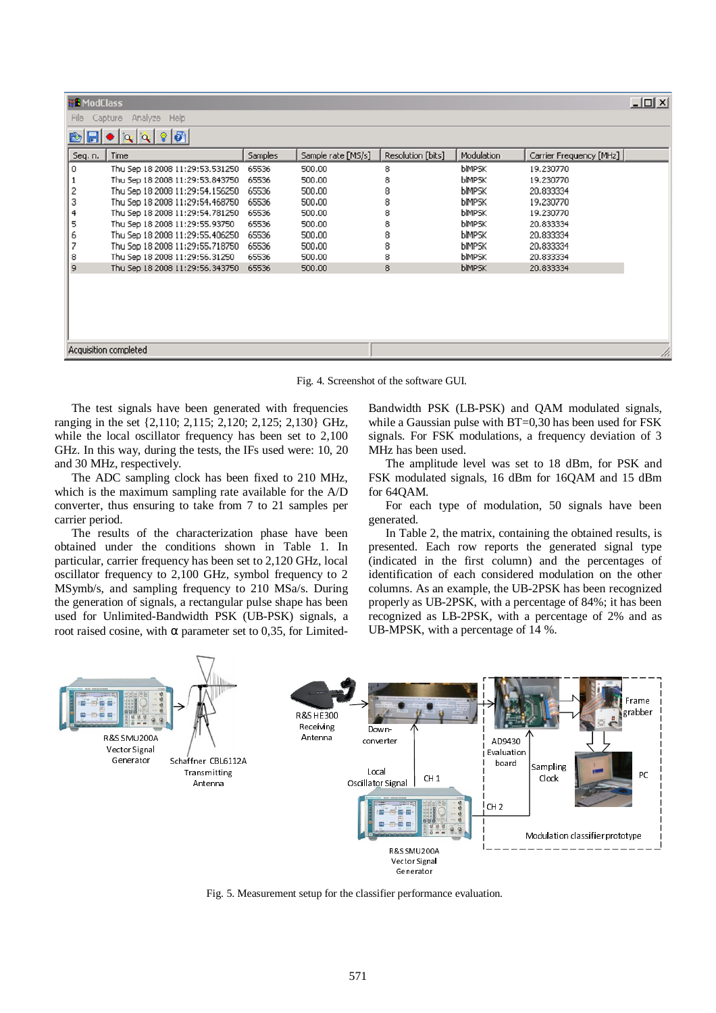| <b>HE</b> ModClass                         |                                 |         |                    |                   |               |                         | $ \Box$ $\times$ |  |  |
|--------------------------------------------|---------------------------------|---------|--------------------|-------------------|---------------|-------------------------|------------------|--|--|
| Capture Analyze Help<br>File               |                                 |         |                    |                   |               |                         |                  |  |  |
| $  \cdot   \cdot  $<br>$ \alpha   \alpha $ |                                 |         |                    |                   |               |                         |                  |  |  |
| Seq. n.                                    | Time                            | Samples | Sample rate [MS/s] | Resolution [bits] | Modulation    | Carrier Frequency [MHz] |                  |  |  |
| 0                                          | Thu Sep 18 2008 11:29:53.531250 | 65536   | 500.00             | 8                 | <b>blMPSK</b> | 19.230770               |                  |  |  |
|                                            | Thu Sep 18 2008 11:29:53.843750 | 65536   | 500.00             | 8                 | <b>bimpsk</b> | 19.230770               |                  |  |  |
| 2                                          | Thu Sep 18 2008 11:29:54.156250 | 65536   | 500.00             | 8                 | <b>bimpsk</b> | 20.833334               |                  |  |  |
| 3                                          | Thu Sep 18 2008 11:29:54.468750 | 65536   | 500,00             | 8                 | <b>bimpsk</b> | 19,230770               |                  |  |  |
| 4                                          | Thu Sep 18 2008 11:29:54.781250 | 65536   | 500.00             | 8                 | <b>bimpsk</b> | 19.230770               |                  |  |  |
| 5                                          | Thu Sep 18 2008 11:29:55.93750  | 65536   | 500.00             | 8                 | <b>bimpsk</b> | 20.833334               |                  |  |  |
| 6                                          | Thu Sep 18 2008 11:29:55.406250 | 65536   | 500.00             | 8                 | <b>bIMPSK</b> | 20.833334               |                  |  |  |
|                                            | Thu Sep 18 2008 11:29:55.718750 | 65536   | 500.00             | 8                 | <b>bimpsk</b> | 20,833334               |                  |  |  |
| 8                                          | Thu Sep 18 2008 11:29:56.31250  | 65536   | 500.00             | 8                 | <b>bimpsk</b> | 20.833334               |                  |  |  |
| 9                                          | Thu Sep 18 2008 11:29:56.343750 | 65536   | 500.00             | 8                 | <b>blMPSK</b> | 20.833334               |                  |  |  |
|                                            |                                 |         |                    |                   |               |                         |                  |  |  |
|                                            |                                 |         |                    |                   |               |                         |                  |  |  |
|                                            |                                 |         |                    |                   |               |                         |                  |  |  |
|                                            |                                 |         |                    |                   |               |                         |                  |  |  |
|                                            |                                 |         |                    |                   |               |                         |                  |  |  |
|                                            |                                 |         |                    |                   |               |                         |                  |  |  |
|                                            | Acquisition completed<br>n.     |         |                    |                   |               |                         |                  |  |  |

Fig. 4. Screenshot of the software GUI.

The test signals have been generated with frequencies ranging in the set {2,110; 2,115; 2,120; 2,125; 2,130} GHz, while the local oscillator frequency has been set to 2,100 GHz. In this way, during the tests, the IFs used were: 10, 20 and 30 MHz, respectively.

The ADC sampling clock has been fixed to 210 MHz, which is the maximum sampling rate available for the A/D converter, thus ensuring to take from 7 to 21 samples per carrier period.

The results of the characterization phase have been obtained under the conditions shown in Table 1. In particular, carrier frequency has been set to 2,120 GHz, local oscillator frequency to 2,100 GHz, symbol frequency to 2 MSymb/s, and sampling frequency to 210 MSa/s. During the generation of signals, a rectangular pulse shape has been used for Unlimited-Bandwidth PSK (UB-PSK) signals, a root raised cosine, with α parameter set to 0,35, for LimitedBandwidth PSK (LB-PSK) and QAM modulated signals, while a Gaussian pulse with BT=0,30 has been used for FSK signals. For FSK modulations, a frequency deviation of 3 MHz has been used.

The amplitude level was set to 18 dBm, for PSK and FSK modulated signals, 16 dBm for 16QAM and 15 dBm for 64QAM.

For each type of modulation, 50 signals have been generated.

In Table 2, the matrix, containing the obtained results, is presented. Each row reports the generated signal type (indicated in the first column) and the percentages of identification of each considered modulation on the other columns. As an example, the UB-2PSK has been recognized properly as UB-2PSK, with a percentage of 84%; it has been recognized as LB-2PSK, with a percentage of 2% and as UB-MPSK, with a percentage of 14 %.



Fig. 5. Measurement setup for the classifier performance evaluation.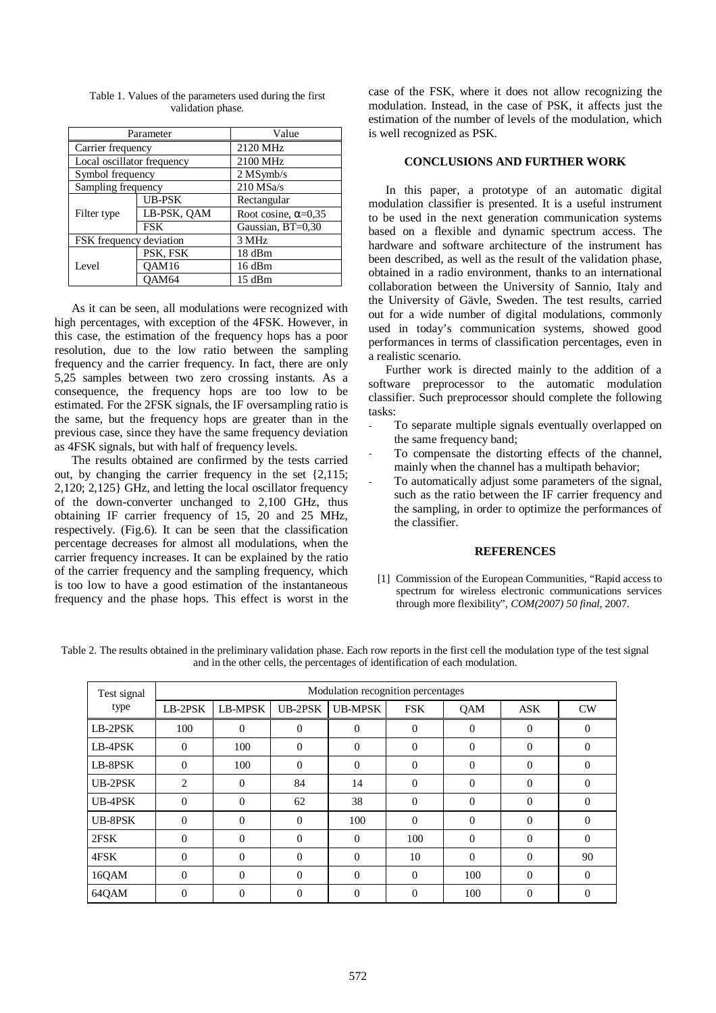|                            | Parameter     | Value                      |  |  |
|----------------------------|---------------|----------------------------|--|--|
| Carrier frequency          |               | 2120 MHz                   |  |  |
| Local oscillator frequency |               | 2100 MHz                   |  |  |
| Symbol frequency           |               | $2$ MSymb/s                |  |  |
| Sampling frequency         |               | $210$ MSa/s                |  |  |
|                            | <b>UB-PSK</b> | Rectangular                |  |  |
| Filter type                | LB-PSK, QAM   | Root cosine, $\alpha=0,35$ |  |  |
|                            | <b>FSK</b>    | Gaussian, BT=0,30          |  |  |
| FSK frequency deviation    |               | 3 MHz                      |  |  |
|                            | PSK, FSK      | 18 dBm                     |  |  |
| Level                      | OAM16         | 16 dBm                     |  |  |
|                            | OAM64         | 15 dBm                     |  |  |

Table 1. Values of the parameters used during the first validation phase.

As it can be seen, all modulations were recognized with high percentages, with exception of the 4FSK. However, in this case, the estimation of the frequency hops has a poor resolution, due to the low ratio between the sampling frequency and the carrier frequency. In fact, there are only 5,25 samples between two zero crossing instants. As a consequence, the frequency hops are too low to be estimated. For the 2FSK signals, the IF oversampling ratio is the same, but the frequency hops are greater than in the previous case, since they have the same frequency deviation as 4FSK signals, but with half of frequency levels.

The results obtained are confirmed by the tests carried out, by changing the carrier frequency in the set {2,115; 2,120; 2,125} GHz, and letting the local oscillator frequency of the down-converter unchanged to 2,100 GHz, thus obtaining IF carrier frequency of 15, 20 and 25 MHz, respectively. (Fig.6). It can be seen that the classification percentage decreases for almost all modulations, when the carrier frequency increases. It can be explained by the ratio of the carrier frequency and the sampling frequency, which is too low to have a good estimation of the instantaneous frequency and the phase hops. This effect is worst in the case of the FSK, where it does not allow recognizing the modulation. Instead, in the case of PSK, it affects just the estimation of the number of levels of the modulation, which is well recognized as PSK.

#### **CONCLUSIONS AND FURTHER WORK**

In this paper, a prototype of an automatic digital modulation classifier is presented. It is a useful instrument to be used in the next generation communication systems based on a flexible and dynamic spectrum access. The hardware and software architecture of the instrument has been described, as well as the result of the validation phase, obtained in a radio environment, thanks to an international collaboration between the University of Sannio, Italy and the University of Gävle, Sweden. The test results, carried out for a wide number of digital modulations, commonly used in today's communication systems, showed good performances in terms of classification percentages, even in a realistic scenario.

Further work is directed mainly to the addition of a software preprocessor to the automatic modulation classifier. Such preprocessor should complete the following tasks:

- To separate multiple signals eventually overlapped on the same frequency band;
- To compensate the distorting effects of the channel, mainly when the channel has a multipath behavior;
- To automatically adjust some parameters of the signal, such as the ratio between the IF carrier frequency and the sampling, in order to optimize the performances of the classifier.

## **REFERENCES**

[1] Commission of the European Communities, "Rapid access to spectrum for wireless electronic communications services through more flexibility", *COM(2007) 50 final*, 2007.

Table 2. The results obtained in the preliminary validation phase. Each row reports in the first cell the modulation type of the test signal and in the other cells, the percentages of identification of each modulation.

| Test signal | Modulation recognition percentages |          |                |                |            |            |            |          |  |
|-------------|------------------------------------|----------|----------------|----------------|------------|------------|------------|----------|--|
| type        | LB-2PSK                            | LB-MPSK  | UB-2PSK        | <b>UB-MPSK</b> | <b>FSK</b> | <b>OAM</b> | <b>ASK</b> | CW       |  |
| LB-2PSK     | 100                                | $\Omega$ | $\Omega$       | $\Omega$       | $\Omega$   | $\Omega$   | $\Omega$   | $\Omega$ |  |
| LB-4PSK     | $\Omega$                           | 100      | $\Omega$       | $\Omega$       | $\Omega$   | $\Omega$   | $\Omega$   | $\Omega$ |  |
| LB-8PSK     | $\Omega$                           | 100      | $\Omega$       | $\Omega$       | $\Omega$   | $\Omega$   | $\Omega$   | $\Omega$ |  |
| UB-2PSK     | 2                                  | $\Omega$ | 84             | 14             | $\Omega$   | $\Omega$   | $\Omega$   | $\Omega$ |  |
| UB-4PSK     | $\Omega$                           | $\Omega$ | 62             | 38             | $\theta$   | $\Omega$   | $\Omega$   | $\Omega$ |  |
| UB-8PSK     | $\Omega$                           | $\Omega$ | $\overline{0}$ | 100            | $\Omega$   | $\theta$   | $\Omega$   | $\Omega$ |  |
| 2FSK        | $\Omega$                           | $\Omega$ | $\Omega$       | $\mathbf{0}$   | 100        | $\Omega$   | $\Omega$   | $\Omega$ |  |
| 4FSK        | $\Omega$                           | $\Omega$ | $\Omega$       | $\theta$       | 10         | $\Omega$   | $\Omega$   | 90       |  |
| 16QAM       | $\Omega$                           | $\Omega$ | $\Omega$       | $\mathbf{0}$   | $\theta$   | 100        | $\Omega$   | $\Omega$ |  |
| 64QAM       | 0                                  | 0        | $\Omega$       | $\overline{0}$ | $\theta$   | 100        | $\Omega$   | $\Omega$ |  |